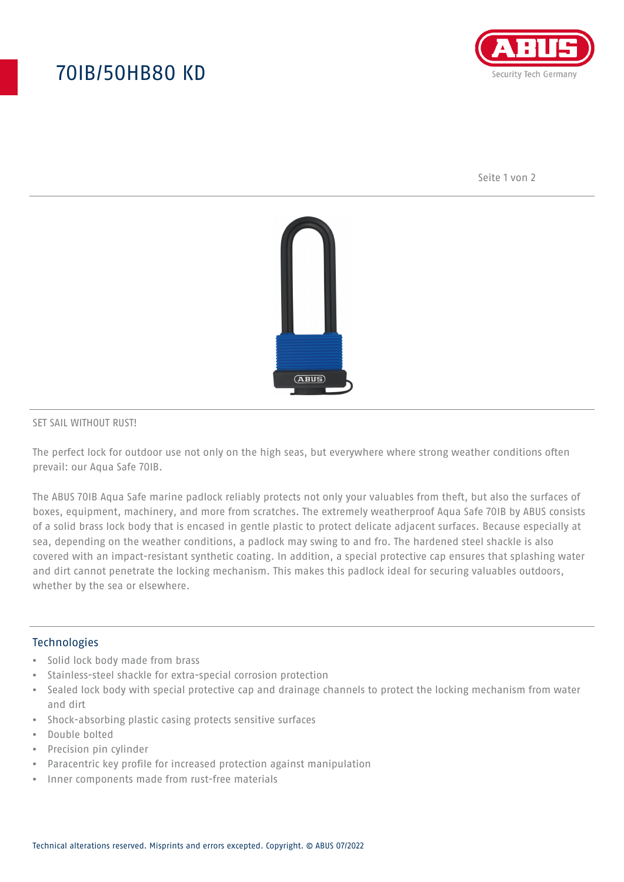# 70IB/50HB80 KD



Seite 1 von 2



#### SET SAIL WITHOUT RUST!

The perfect lock for outdoor use not only on the high seas, but everywhere where strong weather conditions often prevail: our Aqua Safe 70IB.

The ABUS 70IB Aqua Safe marine padlock reliably protects not only your valuables from theft, but also the surfaces of boxes, equipment, machinery, and more from scratches. The extremely weatherproof Aqua Safe 70IB by ABUS consists of a solid brass lock body that is encased in gentle plastic to protect delicate adjacent surfaces. Because especially at sea, depending on the weather conditions, a padlock may swing to and fro. The hardened steel shackle is also covered with an impact-resistant synthetic coating. In addition, a special protective cap ensures that splashing water and dirt cannot penetrate the locking mechanism. This makes this padlock ideal for securing valuables outdoors, whether by the sea or elsewhere.

#### Technologies

- Solid lock body made from brass
- Stainless-steel shackle for extra-special corrosion protection
- Sealed lock body with special protective cap and drainage channels to protect the locking mechanism from water and dirt
- Shock-absorbing plastic casing protects sensitive surfaces
- Double bolted
- Precision pin cylinder
- Paracentric key profile for increased protection against manipulation
- Inner components made from rust-free materials